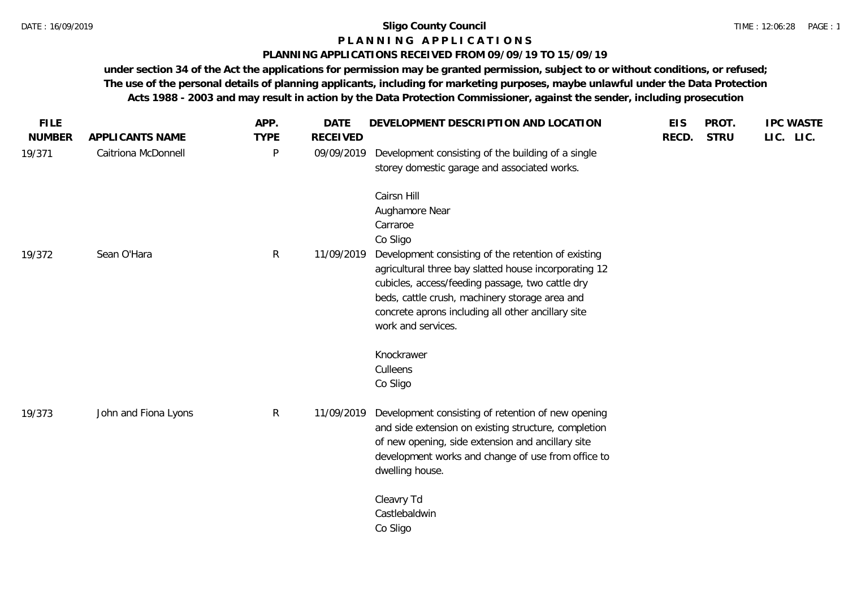#### **P L A N N I N G A P P L I C A T I O N S**

## **PLANNING APPLICATIONS RECEIVED FROM 09/09/19 TO 15/09/19**

**under section 34 of the Act the applications for permission may be granted permission, subject to or without conditions, or refused; The use of the personal details of planning applicants, including for marketing purposes, maybe unlawful under the Data Protection Acts 1988 - 2003 and may result in action by the Data Protection Commissioner, against the sender, including prosecution**

| <b>FILE</b>   |                      | APP.         | <b>DATE</b>     | DEVELOPMENT DESCRIPTION AND LOCATION                                                                                                                                                                                                                                                                       | <b>EIS</b> | PROT.       | <b>IPC WASTE</b> |
|---------------|----------------------|--------------|-----------------|------------------------------------------------------------------------------------------------------------------------------------------------------------------------------------------------------------------------------------------------------------------------------------------------------------|------------|-------------|------------------|
| <b>NUMBER</b> | APPLICANTS NAME      | <b>TYPE</b>  | <b>RECEIVED</b> |                                                                                                                                                                                                                                                                                                            | RECD.      | <b>STRU</b> | LIC. LIC.        |
| 19/371        | Caitriona McDonnell  | P            | 09/09/2019      | Development consisting of the building of a single<br>storey domestic garage and associated works.                                                                                                                                                                                                         |            |             |                  |
|               |                      |              |                 | Cairsn Hill<br>Aughamore Near                                                                                                                                                                                                                                                                              |            |             |                  |
|               |                      |              |                 | Carraroe                                                                                                                                                                                                                                                                                                   |            |             |                  |
| 19/372        | Sean O'Hara          | $\mathsf{R}$ | 11/09/2019      | Co Sligo<br>Development consisting of the retention of existing<br>agricultural three bay slatted house incorporating 12<br>cubicles, access/feeding passage, two cattle dry<br>beds, cattle crush, machinery storage area and<br>concrete aprons including all other ancillary site<br>work and services. |            |             |                  |
|               |                      |              |                 | Knockrawer                                                                                                                                                                                                                                                                                                 |            |             |                  |
|               |                      |              |                 | Culleens                                                                                                                                                                                                                                                                                                   |            |             |                  |
|               |                      |              |                 | Co Sligo                                                                                                                                                                                                                                                                                                   |            |             |                  |
| 19/373        | John and Fiona Lyons | $\mathsf{R}$ | 11/09/2019      | Development consisting of retention of new opening<br>and side extension on existing structure, completion<br>of new opening, side extension and ancillary site<br>development works and change of use from office to<br>dwelling house.                                                                   |            |             |                  |
|               |                      |              |                 | Cleavry Td<br>Castlebaldwin<br>Co Sligo                                                                                                                                                                                                                                                                    |            |             |                  |
|               |                      |              |                 |                                                                                                                                                                                                                                                                                                            |            |             |                  |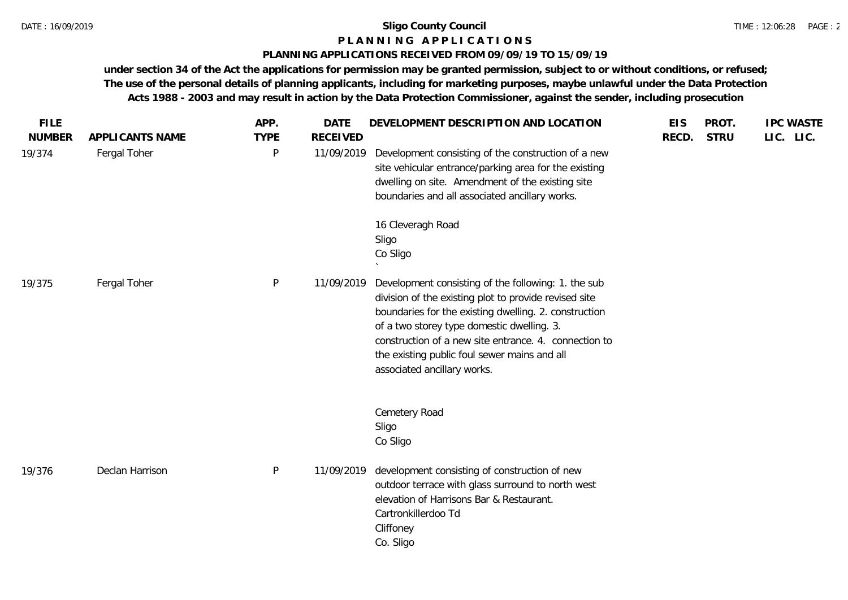#### **P L A N N I N G A P P L I C A T I O N S**

## **PLANNING APPLICATIONS RECEIVED FROM 09/09/19 TO 15/09/19**

**under section 34 of the Act the applications for permission may be granted permission, subject to or without conditions, or refused; The use of the personal details of planning applicants, including for marketing purposes, maybe unlawful under the Data Protection Acts 1988 - 2003 and may result in action by the Data Protection Commissioner, against the sender, including prosecution**

| <b>FILE</b><br><b>NUMBER</b> | APPLICANTS NAME | APP.<br><b>TYPE</b> | <b>DATE</b><br><b>RECEIVED</b> | DEVELOPMENT DESCRIPTION AND LOCATION                                                                                                                                                                                                                                                                                                                        | <b>EIS</b><br>RECD. | PROT.<br><b>STRU</b> | <b>IPC WASTE</b><br>LIC. LIC. |
|------------------------------|-----------------|---------------------|--------------------------------|-------------------------------------------------------------------------------------------------------------------------------------------------------------------------------------------------------------------------------------------------------------------------------------------------------------------------------------------------------------|---------------------|----------------------|-------------------------------|
| 19/374                       | Fergal Toher    | P                   | 11/09/2019                     | Development consisting of the construction of a new<br>site vehicular entrance/parking area for the existing<br>dwelling on site. Amendment of the existing site<br>boundaries and all associated ancillary works.                                                                                                                                          |                     |                      |                               |
|                              |                 |                     |                                | 16 Cleveragh Road<br>Sligo<br>Co Sligo                                                                                                                                                                                                                                                                                                                      |                     |                      |                               |
| 19/375                       | Fergal Toher    | $\mathsf{P}$        | 11/09/2019                     | Development consisting of the following: 1. the sub<br>division of the existing plot to provide revised site<br>boundaries for the existing dwelling. 2. construction<br>of a two storey type domestic dwelling. 3.<br>construction of a new site entrance. 4. connection to<br>the existing public foul sewer mains and all<br>associated ancillary works. |                     |                      |                               |
|                              |                 |                     |                                | Cemetery Road<br>Sligo<br>Co Sligo                                                                                                                                                                                                                                                                                                                          |                     |                      |                               |
| 19/376                       | Declan Harrison | P                   | 11/09/2019                     | development consisting of construction of new<br>outdoor terrace with glass surround to north west<br>elevation of Harrisons Bar & Restaurant.<br>Cartronkillerdoo Td<br>Cliffoney<br>Co. Sligo                                                                                                                                                             |                     |                      |                               |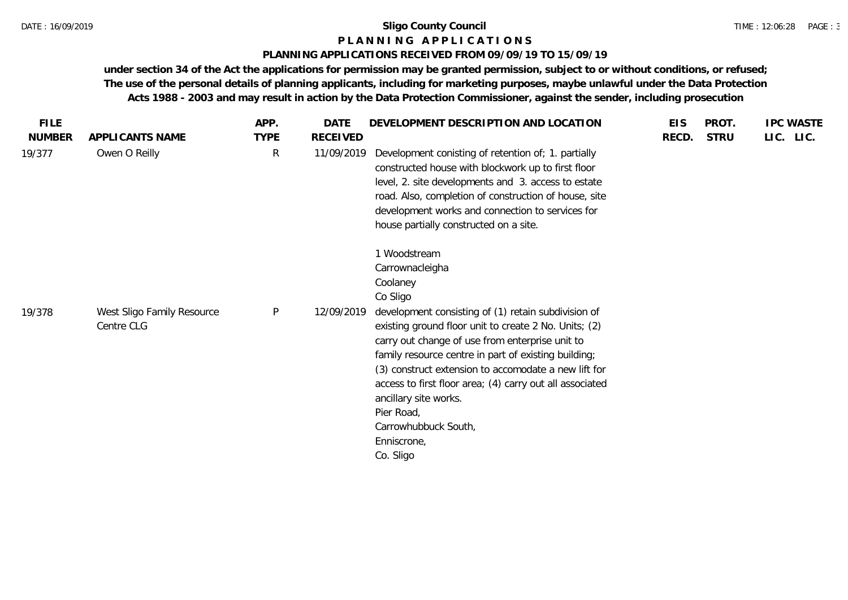#### **P L A N N I N G A P P L I C A T I O N S**

## **PLANNING APPLICATIONS RECEIVED FROM 09/09/19 TO 15/09/19**

**under section 34 of the Act the applications for permission may be granted permission, subject to or without conditions, or refused; The use of the personal details of planning applicants, including for marketing purposes, maybe unlawful under the Data Protection Acts 1988 - 2003 and may result in action by the Data Protection Commissioner, against the sender, including prosecution**

| <b>FILE</b>   |                                          | APP.         | <b>DATE</b> | DEVELOPMENT DESCRIPTION AND LOCATION                                                                                                                                                                                                                                                                                                                                                                                                   | <b>EIS</b> | PROT.       | <b>IPC WASTE</b> |
|---------------|------------------------------------------|--------------|-------------|----------------------------------------------------------------------------------------------------------------------------------------------------------------------------------------------------------------------------------------------------------------------------------------------------------------------------------------------------------------------------------------------------------------------------------------|------------|-------------|------------------|
| <b>NUMBER</b> | APPLICANTS NAME                          | <b>TYPE</b>  | RECEIVED    |                                                                                                                                                                                                                                                                                                                                                                                                                                        | RECD.      | <b>STRU</b> | LIC. LIC.        |
| 19/377        | Owen O Reilly                            | R            | 11/09/2019  | Development conisting of retention of; 1. partially<br>constructed house with blockwork up to first floor<br>level, 2. site developments and 3. access to estate<br>road. Also, completion of construction of house, site<br>development works and connection to services for<br>house partially constructed on a site.                                                                                                                |            |             |                  |
|               |                                          |              |             | 1 Woodstream<br>Carrownacleigha<br>Coolaney<br>Co Sligo                                                                                                                                                                                                                                                                                                                                                                                |            |             |                  |
| 19/378        | West Sligo Family Resource<br>Centre CLG | $\mathsf{P}$ | 12/09/2019  | development consisting of (1) retain subdivision of<br>existing ground floor unit to create 2 No. Units; (2)<br>carry out change of use from enterprise unit to<br>family resource centre in part of existing building;<br>(3) construct extension to accomodate a new lift for<br>access to first floor area; (4) carry out all associated<br>ancillary site works.<br>Pier Road,<br>Carrowhubbuck South,<br>Enniscrone,<br>Co. Sligo |            |             |                  |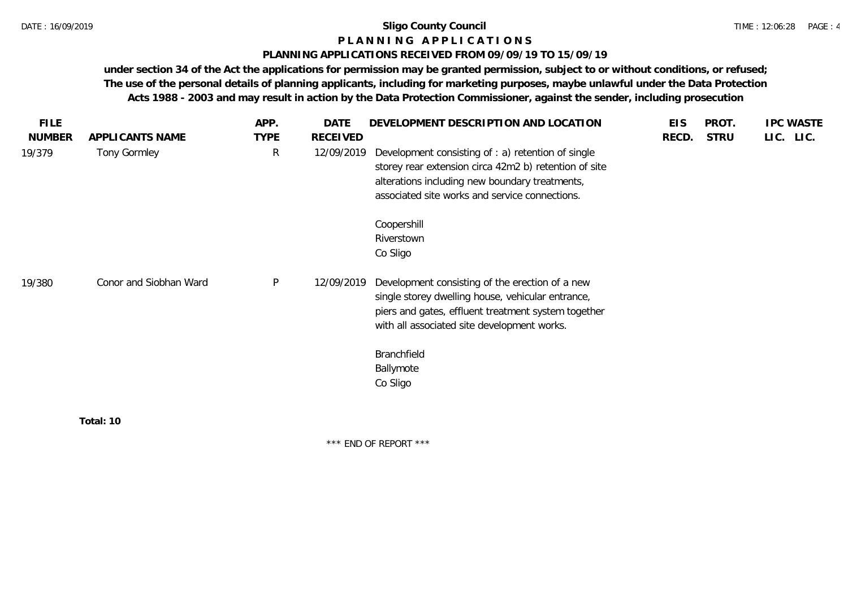### **P L A N N I N G A P P L I C A T I O N S**

#### **PLANNING APPLICATIONS RECEIVED FROM 09/09/19 TO 15/09/19**

**under section 34 of the Act the applications for permission may be granted permission, subject to or without conditions, or refused; The use of the personal details of planning applicants, including for marketing purposes, maybe unlawful under the Data Protection Acts 1988 - 2003 and may result in action by the Data Protection Commissioner, against the sender, including prosecution**

| <b>NUMBER</b><br>APPLICANTS NAME<br>Tony Gormley<br>19/379<br>Conor and Siobhan Ward<br>19/380 | <b>TYPE</b><br>$\mathsf{R}$ | <b>RECEIVED</b><br>12/09/2019 | Development consisting of : a) retention of single<br>storey rear extension circa 42m2 b) retention of site<br>alterations including new boundary treatments,<br>associated site works and service connections.<br>Coopershill | RECD. | <b>STRU</b> | LIC. LIC. |  |
|------------------------------------------------------------------------------------------------|-----------------------------|-------------------------------|--------------------------------------------------------------------------------------------------------------------------------------------------------------------------------------------------------------------------------|-------|-------------|-----------|--|
|                                                                                                |                             |                               |                                                                                                                                                                                                                                |       |             |           |  |
|                                                                                                |                             |                               |                                                                                                                                                                                                                                |       |             |           |  |
|                                                                                                |                             |                               | Riverstown<br>Co Sligo                                                                                                                                                                                                         |       |             |           |  |
|                                                                                                | $\mathsf{P}$                | 12/09/2019                    | Development consisting of the erection of a new<br>single storey dwelling house, vehicular entrance,<br>piers and gates, effluent treatment system together<br>with all associated site development works.                     |       |             |           |  |
|                                                                                                |                             |                               | Branchfield<br>Ballymote<br>Co Sligo                                                                                                                                                                                           |       |             |           |  |
| Total: 10                                                                                      |                             |                               |                                                                                                                                                                                                                                |       |             |           |  |

\*\*\* END OF REPORT \*\*\*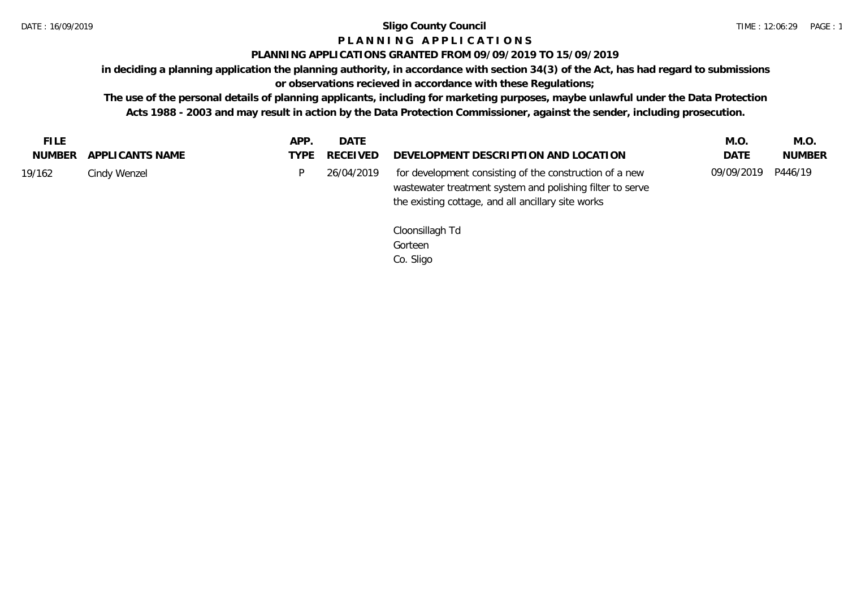## **P L A N N I N G A P P L I C A T I O N S**

#### **PLANNING APPLICATIONS GRANTED FROM 09/09/2019 TO 15/09/2019**

**in deciding a planning application the planning authority, in accordance with section 34(3) of the Act, has had regard to submissions** 

**or observations recieved in accordance with these Regulations;**

**The use of the personal details of planning applicants, including for marketing purposes, maybe unlawful under the Data Protection Acts 1988 - 2003 and may result in action by the Data Protection Commissioner, against the sender, including prosecution.**

| <b>FILE</b> |                        | APP. | <b>DATE</b> |                                                                                                                                                                            | M.O.               | M.O.          |
|-------------|------------------------|------|-------------|----------------------------------------------------------------------------------------------------------------------------------------------------------------------------|--------------------|---------------|
|             | NUMBER APPLICANTS NAME | TYPE | RECEIVED    | DEVELOPMENT DESCRIPTION AND LOCATION                                                                                                                                       | <b>DATE</b>        | <b>NUMBER</b> |
| 19/162      | Cindy Wenzel           |      | 26/04/2019  | for development consisting of the construction of a new<br>wastewater treatment system and polishing filter to serve<br>the existing cottage, and all ancillary site works | 09/09/2019 P446/19 |               |

Cloonsillagh Td Gorteen Co. Sligo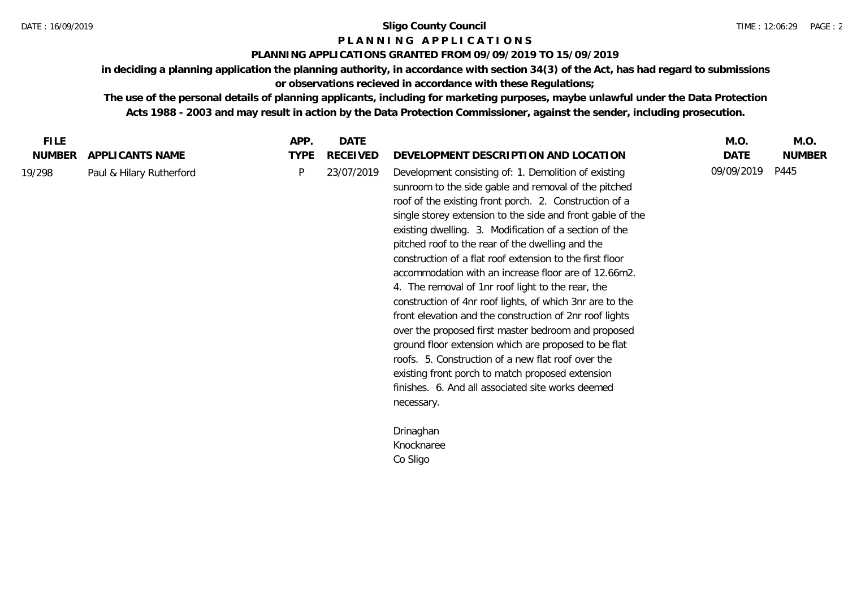## **P L A N N I N G A P P L I C A T I O N S**

### **PLANNING APPLICATIONS GRANTED FROM 09/09/2019 TO 15/09/2019**

**in deciding a planning application the planning authority, in accordance with section 34(3) of the Act, has had regard to submissions or observations recieved in accordance with these Regulations;**

**The use of the personal details of planning applicants, including for marketing purposes, maybe unlawful under the Data Protection Acts 1988 - 2003 and may result in action by the Data Protection Commissioner, against the sender, including prosecution.**

| <b>FILE</b>   |                          | APP.        | <b>DATE</b> |                                                                                                                                                                                                                                                                                                                                                                                                                                                                                                                                                                                                                                                                                                                                                                                                                                                                                                                                                | M.O.       | M.O.          |
|---------------|--------------------------|-------------|-------------|------------------------------------------------------------------------------------------------------------------------------------------------------------------------------------------------------------------------------------------------------------------------------------------------------------------------------------------------------------------------------------------------------------------------------------------------------------------------------------------------------------------------------------------------------------------------------------------------------------------------------------------------------------------------------------------------------------------------------------------------------------------------------------------------------------------------------------------------------------------------------------------------------------------------------------------------|------------|---------------|
| <b>NUMBER</b> | APPLICANTS NAME          | <b>TYPE</b> | RECEIVED    | DEVELOPMENT DESCRIPTION AND LOCATION                                                                                                                                                                                                                                                                                                                                                                                                                                                                                                                                                                                                                                                                                                                                                                                                                                                                                                           | DATE       | <b>NUMBER</b> |
| 19/298        | Paul & Hilary Rutherford | P           | 23/07/2019  | Development consisting of: 1. Demolition of existing<br>sunroom to the side gable and removal of the pitched<br>roof of the existing front porch. 2. Construction of a<br>single storey extension to the side and front gable of the<br>existing dwelling. 3. Modification of a section of the<br>pitched roof to the rear of the dwelling and the<br>construction of a flat roof extension to the first floor<br>accommodation with an increase floor are of 12.66m2.<br>4. The removal of 1nr roof light to the rear, the<br>construction of 4nr roof lights, of which 3nr are to the<br>front elevation and the construction of 2nr roof lights<br>over the proposed first master bedroom and proposed<br>ground floor extension which are proposed to be flat<br>roofs. 5. Construction of a new flat roof over the<br>existing front porch to match proposed extension<br>finishes. 6. And all associated site works deemed<br>necessary. | 09/09/2019 | P445          |
|               |                          |             |             | Drinaghan                                                                                                                                                                                                                                                                                                                                                                                                                                                                                                                                                                                                                                                                                                                                                                                                                                                                                                                                      |            |               |
|               |                          |             |             | Knocknaree                                                                                                                                                                                                                                                                                                                                                                                                                                                                                                                                                                                                                                                                                                                                                                                                                                                                                                                                     |            |               |
|               |                          |             |             | Co Sligo                                                                                                                                                                                                                                                                                                                                                                                                                                                                                                                                                                                                                                                                                                                                                                                                                                                                                                                                       |            |               |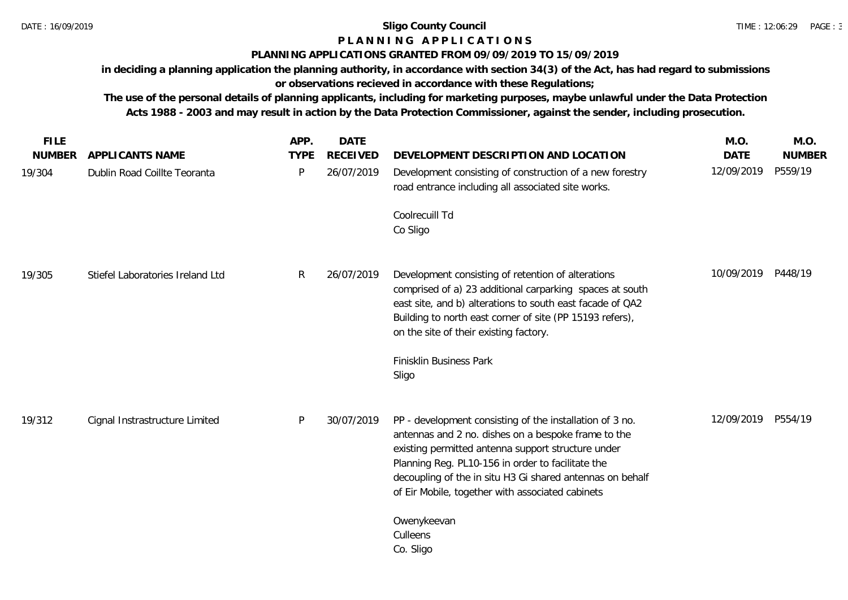# **P L A N N I N G A P P L I C A T I O N S**

## **PLANNING APPLICATIONS GRANTED FROM 09/09/2019 TO 15/09/2019**

**in deciding a planning application the planning authority, in accordance with section 34(3) of the Act, has had regard to submissions or observations recieved in accordance with these Regulations;**

**The use of the personal details of planning applicants, including for marketing purposes, maybe unlawful under the Data Protection Acts 1988 - 2003 and may result in action by the Data Protection Commissioner, against the sender, including prosecution.**

| <b>FILE</b>   |                                  | APP.        | <b>DATE</b>     |                                                                                                                                                                                                                                                                                                                                             | M.O.        | M.O.          |
|---------------|----------------------------------|-------------|-----------------|---------------------------------------------------------------------------------------------------------------------------------------------------------------------------------------------------------------------------------------------------------------------------------------------------------------------------------------------|-------------|---------------|
| <b>NUMBER</b> | APPLICANTS NAME                  | <b>TYPE</b> | <b>RECEIVED</b> | DEVELOPMENT DESCRIPTION AND LOCATION                                                                                                                                                                                                                                                                                                        | <b>DATE</b> | <b>NUMBER</b> |
| 19/304        | Dublin Road Coillte Teoranta     | P           | 26/07/2019      | Development consisting of construction of a new forestry<br>road entrance including all associated site works.                                                                                                                                                                                                                              | 12/09/2019  | P559/19       |
|               |                                  |             |                 | Coolrecuill Td<br>Co Sligo                                                                                                                                                                                                                                                                                                                  |             |               |
| 19/305        | Stiefel Laboratories Ireland Ltd | R           | 26/07/2019      | Development consisting of retention of alterations<br>comprised of a) 23 additional carparking spaces at south<br>east site, and b) alterations to south east facade of QA2<br>Building to north east corner of site (PP 15193 refers),<br>on the site of their existing factory.<br>Finisklin Business Park                                | 10/09/2019  | P448/19       |
|               |                                  |             |                 | Sligo                                                                                                                                                                                                                                                                                                                                       |             |               |
| 19/312        | Cignal Instrastructure Limited   | P           | 30/07/2019      | PP - development consisting of the installation of 3 no.<br>antennas and 2 no. dishes on a bespoke frame to the<br>existing permitted antenna support structure under<br>Planning Reg. PL10-156 in order to facilitate the<br>decoupling of the in situ H3 Gi shared antennas on behalf<br>of Eir Mobile, together with associated cabinets | 12/09/2019  | P554/19       |
|               |                                  |             |                 | Owenykeevan<br>Culleens<br>Co. Sligo                                                                                                                                                                                                                                                                                                        |             |               |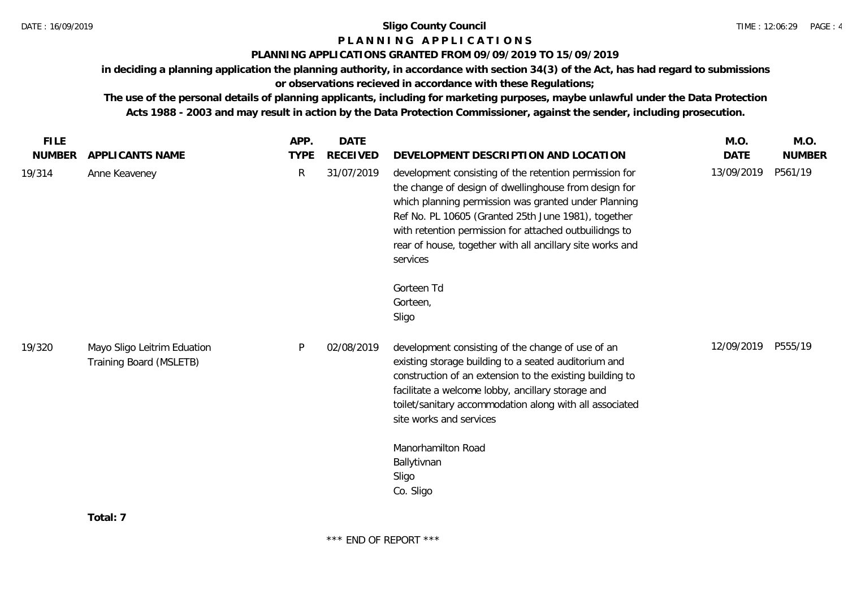## **P L A N N I N G A P P L I C A T I O N S**

## **PLANNING APPLICATIONS GRANTED FROM 09/09/2019 TO 15/09/2019**

**in deciding a planning application the planning authority, in accordance with section 34(3) of the Act, has had regard to submissions** 

## **or observations recieved in accordance with these Regulations;**

**The use of the personal details of planning applicants, including for marketing purposes, maybe unlawful under the Data Protection Acts 1988 - 2003 and may result in action by the Data Protection Commissioner, against the sender, including prosecution.**

| <b>FILE</b>   |                                                        | APP.         | <b>DATE</b>     |                                                                                                                                                                                                                                                                                                                                                                   | M.O.        | M.O.          |
|---------------|--------------------------------------------------------|--------------|-----------------|-------------------------------------------------------------------------------------------------------------------------------------------------------------------------------------------------------------------------------------------------------------------------------------------------------------------------------------------------------------------|-------------|---------------|
| <b>NUMBER</b> | APPLICANTS NAME                                        | <b>TYPE</b>  | <b>RECEIVED</b> | DEVELOPMENT DESCRIPTION AND LOCATION                                                                                                                                                                                                                                                                                                                              | <b>DATE</b> | <b>NUMBER</b> |
| 19/314        | Anne Keaveney                                          | $\mathsf{R}$ | 31/07/2019      | development consisting of the retention permission for<br>the change of design of dwellinghouse from design for<br>which planning permission was granted under Planning<br>Ref No. PL 10605 (Granted 25th June 1981), together<br>with retention permission for attached outbuilidngs to<br>rear of house, together with all ancillary site works and<br>services | 13/09/2019  | P561/19       |
|               |                                                        |              |                 | Gorteen Td<br>Gorteen,<br>Sligo                                                                                                                                                                                                                                                                                                                                   |             |               |
| 19/320        | Mayo Sligo Leitrim Eduation<br>Training Board (MSLETB) | P            | 02/08/2019      | development consisting of the change of use of an<br>existing storage building to a seated auditorium and<br>construction of an extension to the existing building to<br>facilitate a welcome lobby, ancillary storage and<br>toilet/sanitary accommodation along with all associated<br>site works and services<br>Manorhamilton Road<br>Ballytivnan<br>Sligo    | 12/09/2019  | P555/19       |
|               |                                                        |              |                 | Co. Sligo                                                                                                                                                                                                                                                                                                                                                         |             |               |
|               |                                                        |              |                 |                                                                                                                                                                                                                                                                                                                                                                   |             |               |

**Total: 7**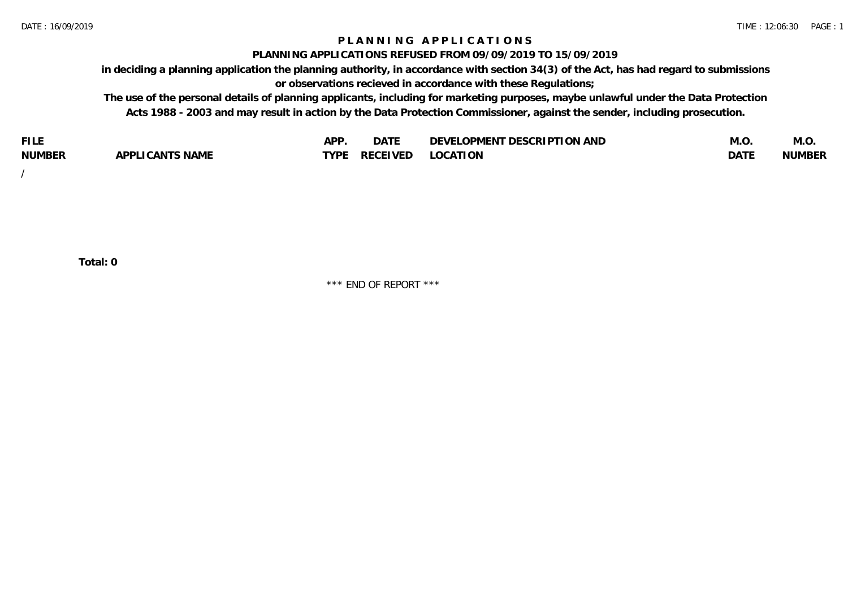## **P L A N N I N G A P P L I C A T I O N S**

#### **PLANNING APPLICATIONS REFUSED FROM 09/09/2019 TO 15/09/2019**

**in deciding a planning application the planning authority, in accordance with section 34(3) of the Act, has had regard to submissions or observations recieved in accordance with these Regulations;**

**The use of the personal details of planning applicants, including for marketing purposes, maybe unlawful under the Data Protection Acts 1988 - 2003 and may result in action by the Data Protection Commissioner, against the sender, including prosecution.**

| <b>FILE</b>   |                                                     | A DE | $\sim$ $\sim$ $\sim$<br>DA I | <b>ENT DESCRIPTION AND</b><br>$\cap$ nn.<br>)E\/F<br>. JIEN L<br>பட | IVI.U       | IVI.U         |
|---------------|-----------------------------------------------------|------|------------------------------|---------------------------------------------------------------------|-------------|---------------|
| <b>NUMBER</b> | <b>ANTS NAME</b><br>A DDI<br>$\sqrt{2}$<br>CAN<br>u | TVDL | ◡⊢                           | <b>OCATION</b>                                                      | <b>DATF</b> | <b>NUMBER</b> |

/

**Total: 0**

\*\*\* END OF REPORT \*\*\*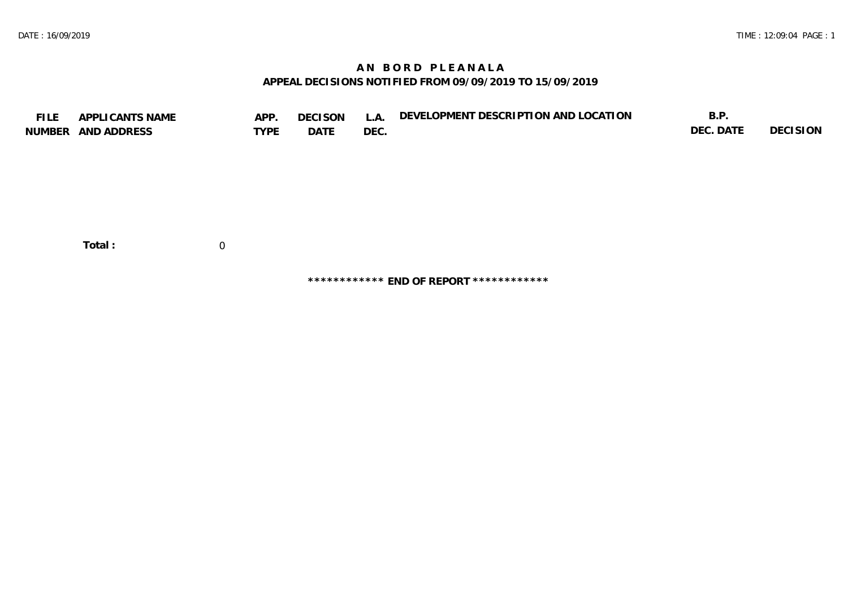## **A N B O R D P L E A N A L A APPEAL DECISIONS NOTIFIED FROM 09/09/2019 TO 15/09/2019**

| <b>FILE</b> | APPLICANTS NAME    | APP.        | DECISON | L.A. | DEVELOPMENT DESCRIPTION AND LOCATION | B.P.      |          |
|-------------|--------------------|-------------|---------|------|--------------------------------------|-----------|----------|
|             | NUMBER AND ADDRESS | <b>TYPE</b> | DATE    | DEC. |                                      | DEC. DATE | DECISION |
|             |                    |             |         |      |                                      |           |          |
|             |                    |             |         |      |                                      |           |          |
|             |                    |             |         |      |                                      |           |          |
|             |                    |             |         |      |                                      |           |          |
|             |                    |             |         |      |                                      |           |          |
|             |                    |             |         |      |                                      |           |          |
|             |                    |             |         |      |                                      |           |          |
|             |                    |             |         |      |                                      |           |          |
|             | Total:             | 0           |         |      |                                      |           |          |

**\*\*\*\*\*\*\*\*\*\*\*\* END OF REPORT \*\*\*\*\*\*\*\*\*\*\*\***